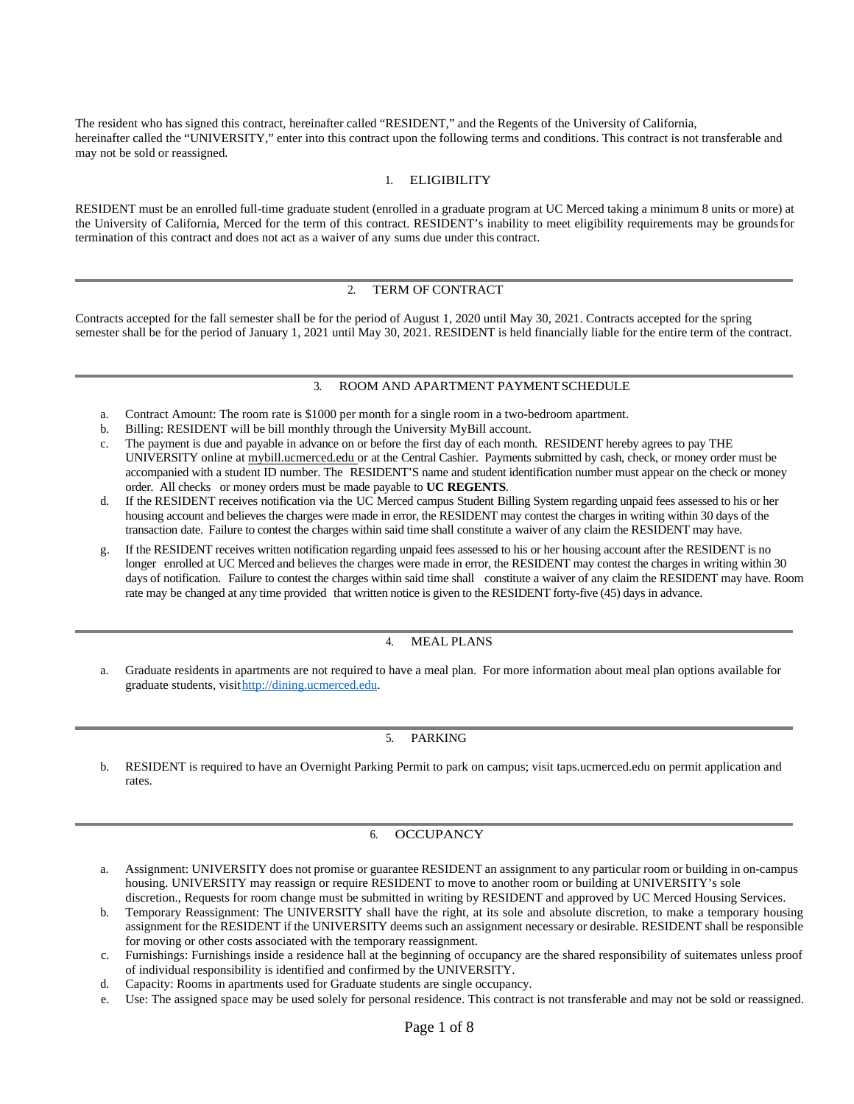The resident who has signed this contract, hereinafter called "RESIDENT," and the Regents of the University of California, hereinafter called the "UNIVERSITY," enter into this contract upon the following terms and conditions. This contract is not transferable and may not be sold or reassigned.

### 1. ELIGIBILITY

RESIDENT must be an enrolled full-time graduate student (enrolled in a graduate program at UC Merced taking a minimum 8 units or more) at the University of California, Merced for the term of this contract. RESIDENT's inability to meet eligibility requirements may be groundsfor termination of this contract and does not act as a waiver of any sums due under this contract.

### 2. TERM OF CONTRACT

Contracts accepted for the fall semester shall be for the period of August 1, 2020 until May 30, 2021. Contracts accepted for the spring semester shall be for the period of January 1, 2021 until May 30, 2021. RESIDENT is held financially liable for the entire term of the contract.

### 3. ROOM AND APARTMENT PAYMENT SCHEDULE

- a. Contract Amount: The room rate is \$1000 per month for a single room in a two-bedroom apartment.
- b. Billing: RESIDENT will be bill monthly through the University MyBill account.
- c. The payment is due and payable in advance on or before the first day of each month. RESIDENT hereby agrees to pay THE UNIVERSITY online at mybill.ucmerced.edu or at the Central Cashier. Payments submitted by cash, check, or money order must be accompanied with a student ID number. The RESIDENT'S name and student identification number must appear on the check or money order. All checks or money orders must be made payable to **UC REGENTS**.
- d. If the RESIDENT receives notification via the UC Merced campus Student Billing System regarding unpaid fees assessed to his or her housing account and believes the charges were made in error, the RESIDENT may contest the charges in writing within 30 days of the transaction date. Failure to contest the charges within said time shall constitute a waiver of any claim the RESIDENT may have.
- g. If the RESIDENT receives written notification regarding unpaid fees assessed to his or her housing account after the RESIDENT is no longer enrolled at UC Merced and believes the charges were made in error, the RESIDENT may contest the charges in writing within 30 days of notification. Failure to contest the charges within said time shall constitute a waiver of any claim the RESIDENT may have. Room rate may be changed at any time provided that written notice is given to the RESIDENT forty-five (45) days in advance.

### 4. MEAL PLANS

a. Graduate residents in apartments are not required to have a meal plan. For more information about meal plan options available for graduate students, visi[thttp://dining.ucmerced.edu.](http://dining.ucmerced.edu/)

#### 5. PARKING

b. RESIDENT is required to have an Overnight Parking Permit to park on campus; visit taps.ucmerced.edu on permit application and rates.

### 6. OCCUPANCY

- a. Assignment: UNIVERSITY does not promise or guarantee RESIDENT an assignment to any particular room or building in on-campus housing. UNIVERSITY may reassign or require RESIDENT to move to another room or building at UNIVERSITY's sole discretion., Requests for room change must be submitted in writing by RESIDENT and approved by UC Merced Housing Services.
- b. Temporary Reassignment: The UNIVERSITY shall have the right, at its sole and absolute discretion, to make a temporary housing assignment for the RESIDENT if the UNIVERSITY deems such an assignment necessary or desirable. RESIDENT shall be responsible for moving or other costs associated with the temporary reassignment.
- c. Furnishings: Furnishings inside a residence hall at the beginning of occupancy are the shared responsibility of suitemates unless proof of individual responsibility is identified and confirmed by the UNIVERSITY.
- d. Capacity: Rooms in apartments used for Graduate students are single occupancy.
- e. Use: The assigned space may be used solely for personal residence. This contract is not transferable and may not be sold or reassigned.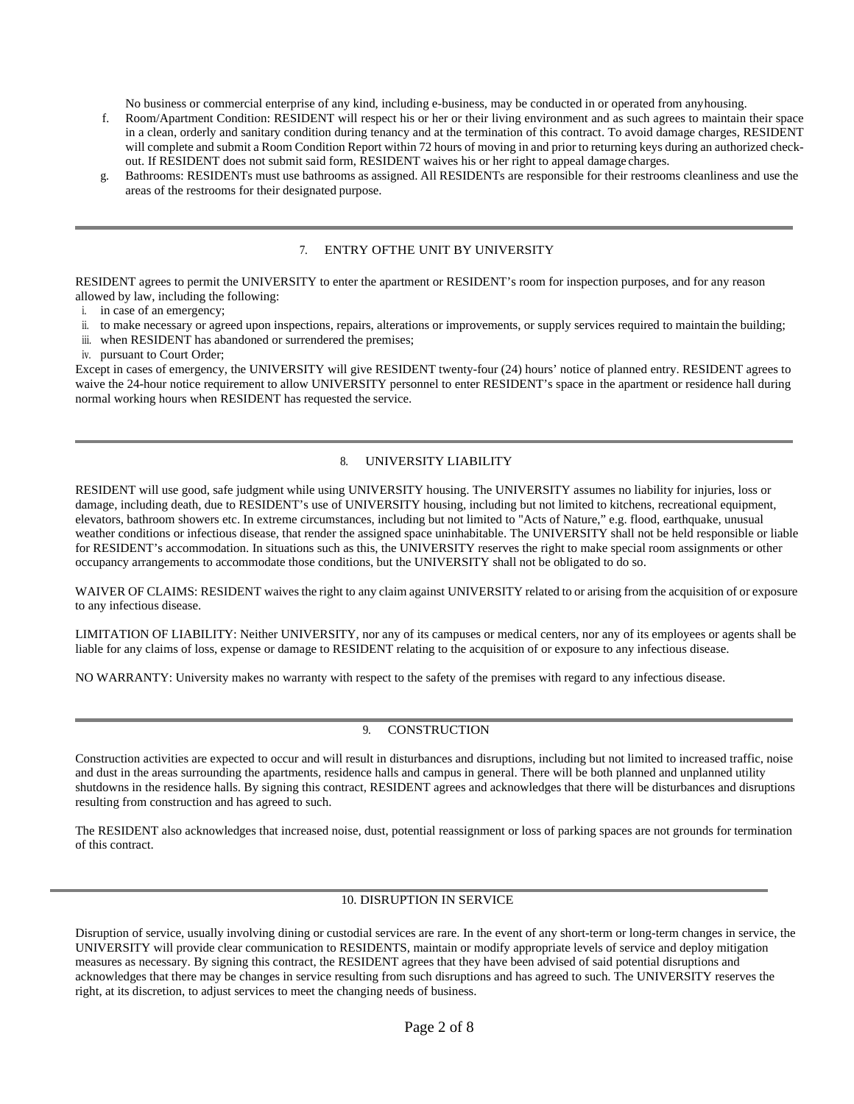No business or commercial enterprise of any kind, including e-business, may be conducted in or operated from anyhousing.

- f. Room/Apartment Condition: RESIDENT will respect his or her or their living environment and as such agrees to maintain their space in a clean, orderly and sanitary condition during tenancy and at the termination of this contract. To avoid damage charges, RESIDENT will complete and submit a Room Condition Report within 72 hours of moving in and prior to returning keys during an authorized checkout. If RESIDENT does not submit said form, RESIDENT waives his or her right to appeal damage charges.
- g. Bathrooms: RESIDENTs must use bathrooms as assigned. All RESIDENTs are responsible for their restrooms cleanliness and use the areas of the restrooms for their designated purpose.

#### 7. ENTRY OFTHE UNIT BY UNIVERSITY

RESIDENT agrees to permit the UNIVERSITY to enter the apartment or RESIDENT's room for inspection purposes, and for any reason allowed by law, including the following:

- i. in case of an emergency;
- ii. to make necessary or agreed upon inspections, repairs, alterations or improvements, or supply services required to maintain the building;
- iii. when RESIDENT has abandoned or surrendered the premises;
- iv. pursuant to Court Order;

Except in cases of emergency, the UNIVERSITY will give RESIDENT twenty-four (24) hours' notice of planned entry. RESIDENT agrees to waive the 24-hour notice requirement to allow UNIVERSITY personnel to enter RESIDENT's space in the apartment or residence hall during normal working hours when RESIDENT has requested the service.

# 8. UNIVERSITY LIABILITY

RESIDENT will use good, safe judgment while using UNIVERSITY housing. The UNIVERSITY assumes no liability for injuries, loss or damage, including death, due to RESIDENT's use of UNIVERSITY housing, including but not limited to kitchens, recreational equipment, elevators, bathroom showers etc. In extreme circumstances, including but not limited to "Acts of Nature," e.g. flood, earthquake, unusual weather conditions or infectious disease, that render the assigned space uninhabitable. The UNIVERSITY shall not be held responsible or liable for RESIDENT's accommodation. In situations such as this, the UNIVERSITY reserves the right to make special room assignments or other occupancy arrangements to accommodate those conditions, but the UNIVERSITY shall not be obligated to do so.

WAIVER OF CLAIMS: RESIDENT waives the right to any claim against UNIVERSITY related to or arising from the acquisition of or exposure to any infectious disease.

LIMITATION OF LIABILITY: Neither UNIVERSITY, nor any of its campuses or medical centers, nor any of its employees or agents shall be liable for any claims of loss, expense or damage to RESIDENT relating to the acquisition of or exposure to any infectious disease.

NO WARRANTY: University makes no warranty with respect to the safety of the premises with regard to any infectious disease.

# 9. CONSTRUCTION

Construction activities are expected to occur and will result in disturbances and disruptions, including but not limited to increased traffic, noise and dust in the areas surrounding the apartments, residence halls and campus in general. There will be both planned and unplanned utility shutdowns in the residence halls. By signing this contract, RESIDENT agrees and acknowledges that there will be disturbances and disruptions resulting from construction and has agreed to such.

The RESIDENT also acknowledges that increased noise, dust, potential reassignment or loss of parking spaces are not grounds for termination of this contract.

# 10. DISRUPTION IN SERVICE

Disruption of service, usually involving dining or custodial services are rare. In the event of any short-term or long-term changes in service, the UNIVERSITY will provide clear communication to RESIDENTS, maintain or modify appropriate levels of service and deploy mitigation measures as necessary. By signing this contract, the RESIDENT agrees that they have been advised of said potential disruptions and acknowledges that there may be changes in service resulting from such disruptions and has agreed to such. The UNIVERSITY reserves the right, at its discretion, to adjust services to meet the changing needs of business.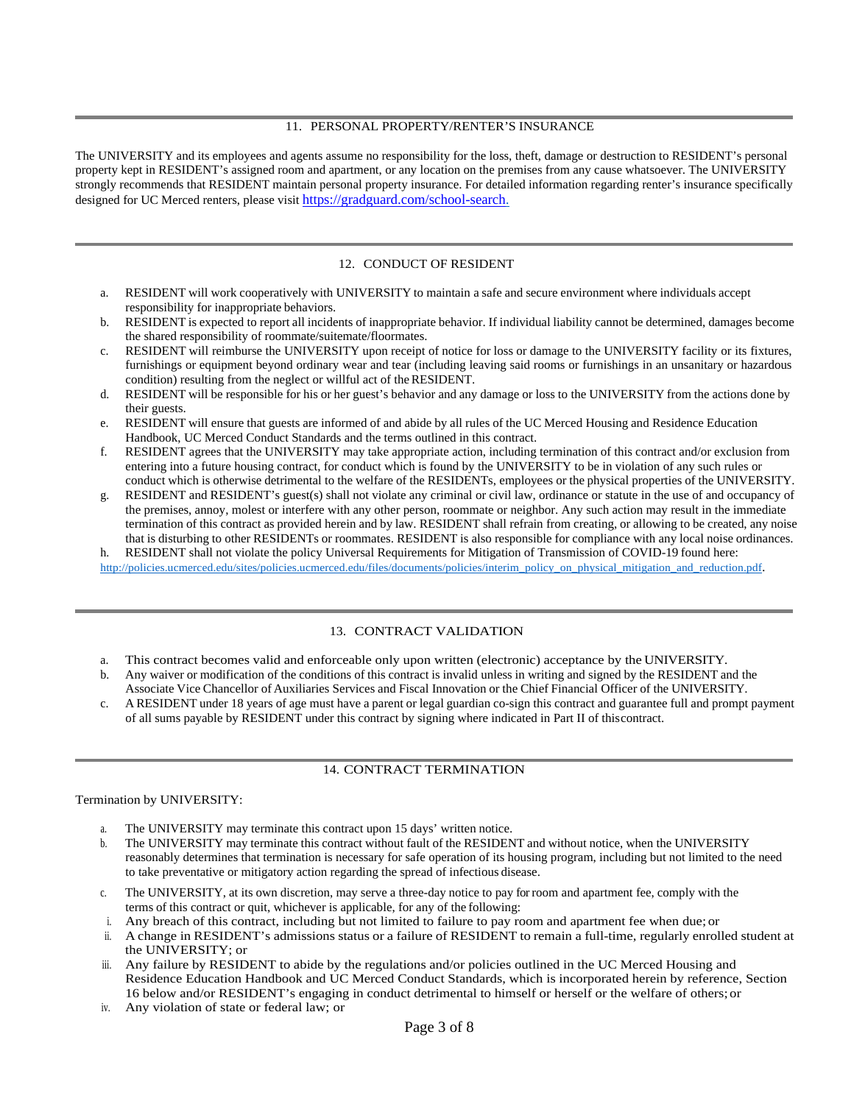# 11. PERSONAL PROPERTY/RENTER'S INSURANCE

The UNIVERSITY and its employees and agents assume no responsibility for the loss, theft, damage or destruction to RESIDENT's personal property kept in RESIDENT's assigned room and apartment, or any location on the premises from any cause whatsoever. The UNIVERSITY strongly recommends that RESIDENT maintain personal property insurance. For detailed information regarding renter's insurance specifically designed for UC Merced renters, please visit [https://gradguard.com/school-search.](https://gradguard.com/school-search)

# 12. CONDUCT OF RESIDENT

- a. RESIDENT will work cooperatively with UNIVERSITY to maintain a safe and secure environment where individuals accept responsibility for inappropriate behaviors.
- b. RESIDENT is expected to report all incidents of inappropriate behavior. If individual liability cannot be determined, damages become the shared responsibility of roommate/suitemate/floormates.
- c. RESIDENT will reimburse the UNIVERSITY upon receipt of notice for loss or damage to the UNIVERSITY facility or its fixtures, furnishings or equipment beyond ordinary wear and tear (including leaving said rooms or furnishings in an unsanitary or hazardous condition) resulting from the neglect or willful act of theRESIDENT.
- d. RESIDENT will be responsible for his or her guest's behavior and any damage or loss to the UNIVERSITY from the actions done by their guests.
- e. RESIDENT will ensure that guests are informed of and abide by all rules of the UC Merced Housing and Residence Education Handbook, UC Merced Conduct Standards and the terms outlined in this contract.
- f. RESIDENT agrees that the UNIVERSITY may take appropriate action, including termination of this contract and/or exclusion from entering into a future housing contract, for conduct which is found by the UNIVERSITY to be in violation of any such rules or conduct which is otherwise detrimental to the welfare of the RESIDENTs, employees or the physical properties of the UNIVERSITY.
- g. RESIDENT and RESIDENT's guest(s) shall not violate any criminal or civil law, ordinance or statute in the use of and occupancy of the premises, annoy, molest or interfere with any other person, roommate or neighbor. Any such action may result in the immediate termination of this contract as provided herein and by law. RESIDENT shall refrain from creating, or allowing to be created, any noise that is disturbing to other RESIDENTs or roommates. RESIDENT is also responsible for compliance with any local noise ordinances.

h. RESIDENT shall not violate the policy Universal Requirements for Mitigation of Transmission of COVID-19 found here: [http://policies.ucmerced.edu/sites/policies.ucmerced.edu/files/documents/policies/interim\\_policy\\_on\\_physical\\_mitigation\\_and\\_reduction.pdf.](http://policies.ucmerced.edu/sites/policies.ucmerced.edu/files/documents/policies/interim_policy_on_physical_mitigation_and_reduction.pdf)

# 13. CONTRACT VALIDATION

- a. This contract becomes valid and enforceable only upon written (electronic) acceptance by the UNIVERSITY.
- b. Any waiver or modification of the conditions of this contract is invalid unless in writing and signed by the RESIDENT and the Associate Vice Chancellor of Auxiliaries Services and Fiscal Innovation or the Chief Financial Officer of the UNIVERSITY.
- c. A RESIDENT under 18 years of age must have a parent or legal guardian co-sign this contract and guarantee full and prompt payment of all sums payable by RESIDENT under this contract by signing where indicated in Part II of thiscontract.

# 14. CONTRACT TERMINATION

# Termination by UNIVERSITY:

- a. The UNIVERSITY may terminate this contract upon 15 days' written notice.
- b. The UNIVERSITY may terminate this contract without fault of the RESIDENT and without notice, when the UNIVERSITY reasonably determines that termination is necessary for safe operation of its housing program, including but not limited to the need to take preventative or mitigatory action regarding the spread of infectious disease.
- c. The UNIVERSITY, at its own discretion, may serve a three-day notice to pay for room and apartment fee, comply with the terms of this contract or quit, whichever is applicable, for any of the following:
- i. Any breach of this contract, including but not limited to failure to pay room and apartment fee when due; or
- ii. A change in RESIDENT's admissions status or a failure of RESIDENT to remain a full-time, regularly enrolled student at the UNIVERSITY; or
- iii. Any failure by RESIDENT to abide by the regulations and/or policies outlined in the UC Merced Housing and Residence Education Handbook and UC Merced Conduct Standards, which is incorporated herein by reference, Section 16 below and/or RESIDENT's engaging in conduct detrimental to himself or herself or the welfare of others; or
- Any violation of state or federal law; or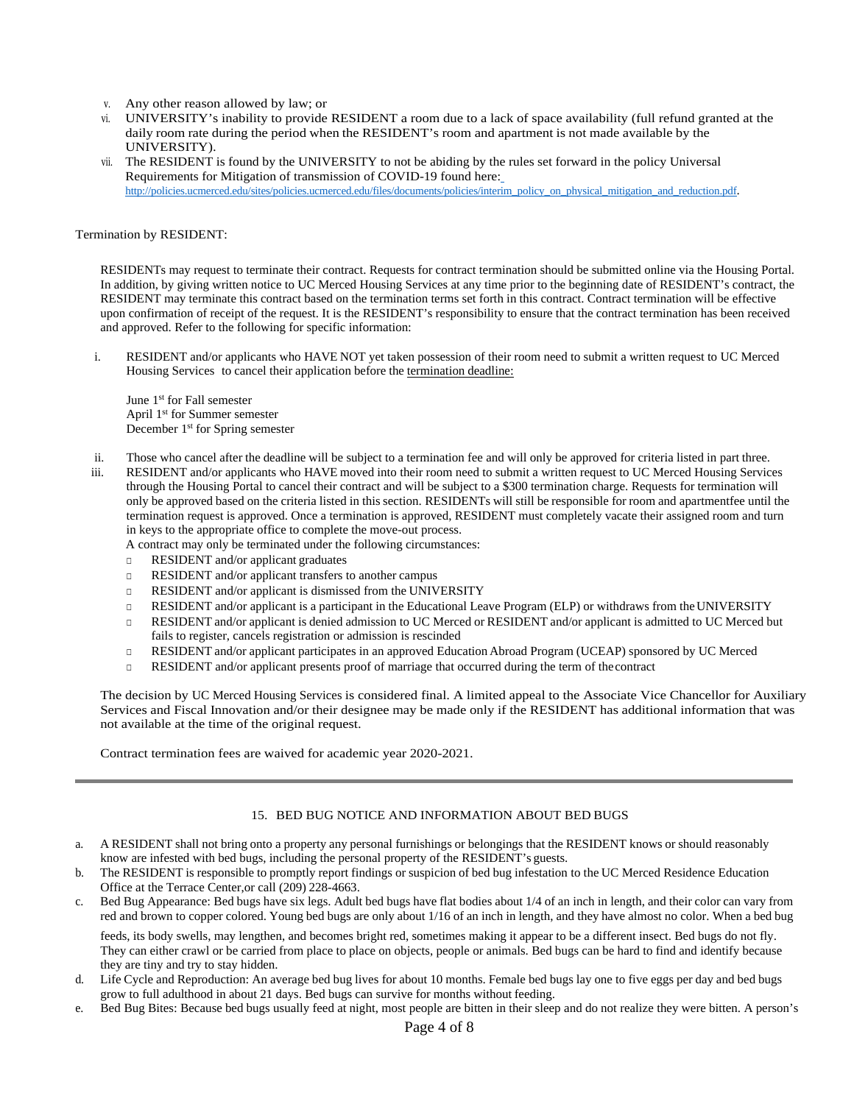- v. Any other reason allowed by law; or
- vi. UNIVERSITY's inability to provide RESIDENT a room due to a lack of space availability (full refund granted at the daily room rate during the period when the RESIDENT's room and apartment is not made available by the UNIVERSITY).
- vii. The RESIDENT is found by the UNIVERSITY to not be abiding by t[he rules set forward in the policy Universal](http://policies.ucmerced.edu/sites/policies.ucmerced.edu/files/documents/policies/interim_policy_on_physical_mitigation_and_reduction.pdf)  Requirements for Mitigation of transmission of COVID-19 found her[e:](http://policies.ucmerced.edu/sites/policies.ucmerced.edu/files/documents/policies/interim_policy_on_physical_mitigation_and_reduction.pdf) [http://policies.ucmerced.edu/sites/policies.ucmerced.edu/files/documents/policies/interim\\_policy\\_on\\_physical\\_mitigation\\_and\\_reduction.pdf.](http://policies.ucmerced.edu/sites/policies.ucmerced.edu/files/documents/policies/interim_policy_on_physical_mitigation_and_reduction.pdf)

#### Termination by RESIDENT:

RESIDENTs may request to terminate their contract. Requests for contract termination should be submitted online via the Housing Portal. In addition, by giving written notice to UC Merced Housing Services at any time prior to the beginning date of RESIDENT's contract, the RESIDENT may terminate this contract based on the termination terms set forth in this contract. Contract termination will be effective upon confirmation of receipt of the request. It is the RESIDENT's responsibility to ensure that the contract termination has been received and approved. Refer to the following for specific information:

i. RESIDENT and/or applicants who HAVE NOT yet taken possession of their room need to submit a written request to UC Merced Housing Services to cancel their application before the termination deadline:

June 1st for Fall semester April 1st for Summer semester December 1<sup>st</sup> for Spring semester

- ii. Those who cancel after the deadline will be subject to a termination fee and will only be approved for criteria listed in part three.
- iii. RESIDENT and/or applicants who HAVE moved into their room need to submit a written request to UC Merced Housing Services through the Housing Portal to cancel their contract and will be subject to a \$300 termination charge. Requests for termination will only be approved based on the criteria listed in this section. RESIDENTs will still be responsible for room and apartmentfee until the termination request is approved. Once a termination is approved, RESIDENT must completely vacate their assigned room and turn in keys to the appropriate office to complete the move-out process.

A contract may only be terminated under the following circumstances:

- □ RESIDENT and/or applicant graduates
- □ RESIDENT and/or applicant transfers to another campus
- □ RESIDENT and/or applicant is dismissed from the UNIVERSITY
- □ RESIDENT and/or applicant is a participant in the Educational Leave Program (ELP) or withdraws from theUNIVERSITY
- □ RESIDENT and/or applicant is denied admission to UC Merced or RESIDENT and/or applicant is admitted to UC Merced but fails to register, cancels registration or admission is rescinded
- □ RESIDENT and/or applicant participates in an approved Education Abroad Program (UCEAP) sponsored by UC Merced
- □ RESIDENT and/or applicant presents proof of marriage that occurred during the term of thecontract

The decision by UC Merced Housing Services is considered final. A limited appeal to the Associate Vice Chancellor for Auxiliary Services and Fiscal Innovation and/or their designee may be made only if the RESIDENT has additional information that was not available at the time of the original request.

Contract termination fees are waived for academic year 2020-2021.

#### 15. BED BUG NOTICE AND INFORMATION ABOUT BED BUGS

- a. A RESIDENT shall not bring onto a property any personal furnishings or belongings that the RESIDENT knows or should reasonably know are infested with bed bugs, including the personal property of the RESIDENT's guests.
- b. The RESIDENT is responsible to promptly report findings or suspicion of bed bug infestation to the UC Merced Residence Education Office at the Terrace Center,or call (209) 228-4663.
- c. Bed Bug Appearance: Bed bugs have six legs. Adult bed bugs have flat bodies about 1/4 of an inch in length, and their color can vary from red and brown to copper colored. Young bed bugs are only about 1/16 of an inch in length, and they have almost no color. When a bed bug

feeds, its body swells, may lengthen, and becomes bright red, sometimes making it appear to be a different insect. Bed bugs do not fly. They can either crawl or be carried from place to place on objects, people or animals. Bed bugs can be hard to find and identify because they are tiny and try to stay hidden.

- d. Life Cycle and Reproduction: An average bed bug lives for about 10 months. Female bed bugs lay one to five eggs per day and bed bugs grow to full adulthood in about 21 days. Bed bugs can survive for months without feeding.
- e. Bed Bug Bites: Because bed bugs usually feed at night, most people are bitten in their sleep and do not realize they were bitten. A person's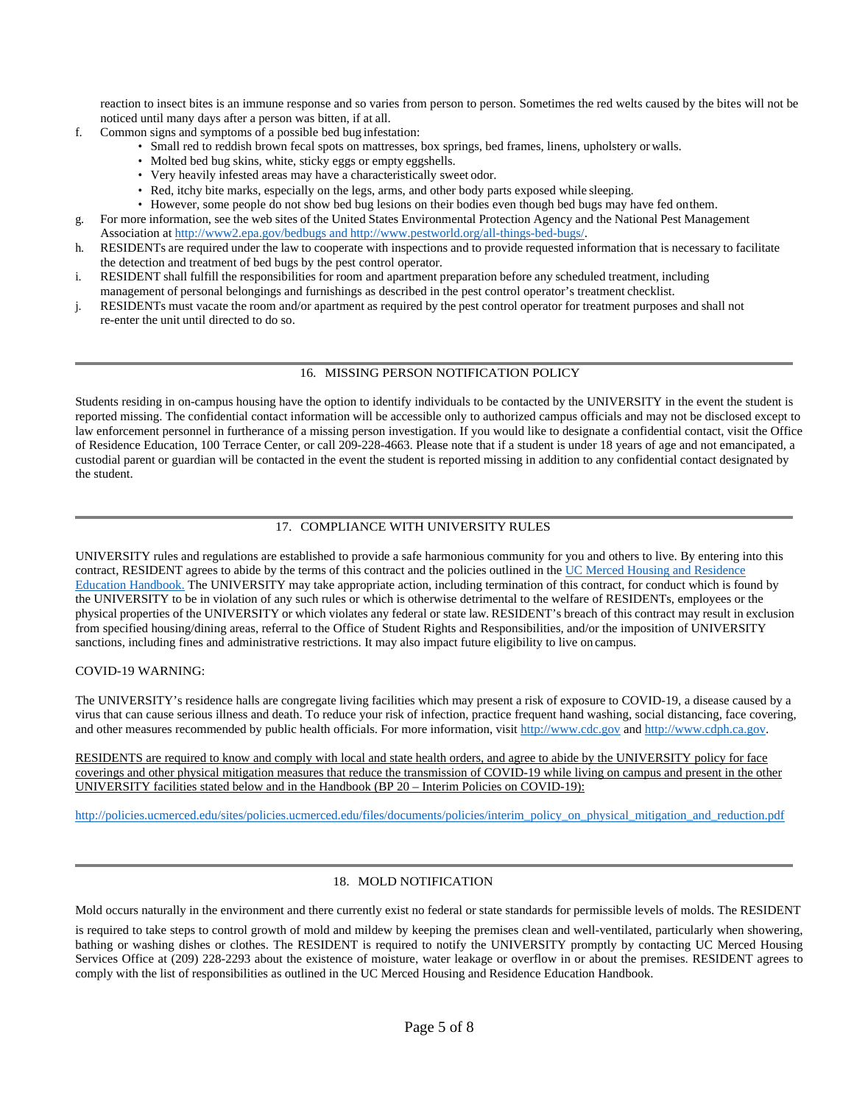reaction to insect bites is an immune response and so varies from person to person. Sometimes the red welts caused by the bites will not be noticed until many days after a person was bitten, if at all.

- f. Common signs and symptoms of a possible bed bug infestation:
	- Small red to reddish brown fecal spots on mattresses, box springs, bed frames, linens, upholstery or walls.
	- Molted bed bug skins, white, sticky eggs or empty eggshells.
	- Very heavily infested areas may have a characteristically sweet odor.
	- Red, itchy bite marks, especially on the legs, arms, and other body parts exposed while sleeping.
	- However, some people do not show bed bug lesions on their bodies even though bed bugs may have fed onthem.
- g. For more information, see the web sites of the United States Environmental Protection Agency and the National Pest Management Association at [http://www2.epa.gov/bedbugs and](http://www2.epa.gov/bedbugsand) [http://www.pestworld.org/all-things-bed-bugs/.](http://www.pestworld.org/all-things-bed-bugs/)
- h. RESIDENTs are required under the law to cooperate with inspections and to provide requested information that is necessary to facilitate the detection and treatment of bed bugs by the pest control operator.
- i. RESIDENT shall fulfill the responsibilities for room and apartment preparation before any scheduled treatment, including management of personal belongings and furnishings as described in the pest control operator's treatment checklist.
- j. RESIDENTs must vacate the room and/or apartment as required by the pest control operator for treatment purposes and shall not re-enter the unit until directed to do so.

# 16. MISSING PERSON NOTIFICATION POLICY

Students residing in on-campus housing have the option to identify individuals to be contacted by the UNIVERSITY in the event the student is reported missing. The confidential contact information will be accessible only to authorized campus officials and may not be disclosed except to law enforcement personnel in furtherance of a missing person investigation. If you would like to designate a confidential contact, visit the Office of Residence Education, 100 Terrace Center, or call 209-228-4663. Please note that if a student is under 18 years of age and not emancipated, a custodial parent or guardian will be contacted in the event the student is reported missing in addition to any confidential contact designated by the student.

# 17. COMPLIANCE WITH UNIVERSITY RULES

UNIVERSITY rules and regulations are established to provide a safe harmonious community for you and others to live. By entering into this contract, RESIDENT agrees to abide by the terms of this contract and the policies outlined in the UC Merced Housing and Residence Education Handbook. The UNIVERSITY may take appropriate action, including termination of this contract, for conduct which is found by the UNIVERSITY to be in violation of any such rules or which is otherwise detrimental to the welfare of RESIDENTs, employees or the physical properties of the UNIVERSITY or which violates any federal or state law. RESIDENT's breach of this contract may result in exclusion from specified housing/dining areas, referral to the Office of Student Rights and Responsibilities, and/or the imposition of UNIVERSITY sanctions, including fines and administrative restrictions. It may also impact future eligibility to live on campus.

# COVID-19 WARNING:

The UNIVERSITY's residence halls are congregate living facilities which may present a risk of exposure to COVID-19, a disease caused by a virus that can cause serious illness and death. To reduce your risk of infection, practice frequent hand washing, social distancing, face covering, and other measures recommended by public health officials. For more information, visi[t http://www.cdc.gov](http://www.cdc.gov/) an[d http://www.cdph.ca.gov.](http://www.cdph.ca.gov/)

RESIDENTS are required to know and comply with local and state health orders, and agree to abide by the UNIVERSITY policy for face coverings and other physical mitigation measures that reduce the transmission of COVID-19 while living on campus and present in the other UNIVERSITY facilities stated below and in the Handbook (BP 20 – Interim Policies on COVID-19):

[http://policies.ucmerced.edu/sites/policies.ucmerced.edu/files/documents/policies/interim\\_policy\\_on\\_physical\\_mitigation\\_and\\_reduction.pdf](http://policies.ucmerced.edu/sites/policies.ucmerced.edu/files/documents/policies/interim_policy_on_physical_mitigation_and_reduction.pdf)

# 18. MOLD NOTIFICATION

Mold occurs naturally in the environment and there currently exist no federal or state standards for permissible levels of molds. The RESIDENT

is required to take steps to control growth of mold and mildew by keeping the premises clean and well-ventilated, particularly when showering, bathing or washing dishes or clothes. The RESIDENT is required to notify the UNIVERSITY promptly by contacting UC Merced Housing Services Office at (209) 228-2293 about the existence of moisture, water leakage or overflow in or about the premises. RESIDENT agrees to comply with the list of responsibilities as outlined in the UC Merced Housing and Residence Education Handbook.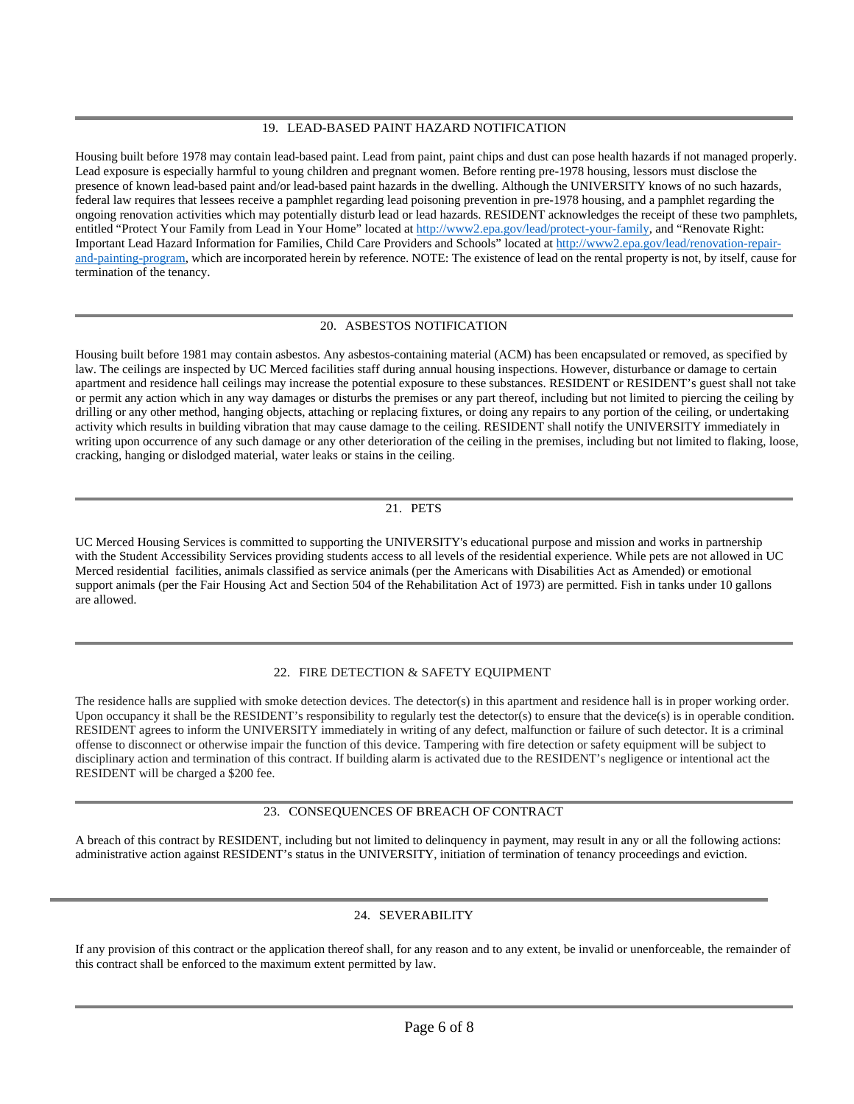# 19. LEAD-BASED PAINT HAZARD NOTIFICATION

Housing built before 1978 may contain lead-based paint. Lead from paint, paint chips and dust can pose health hazards if not managed properly. Lead exposure is especially harmful to young children and pregnant women. Before renting pre-1978 housing, lessors must disclose the presence of known lead-based paint and/or lead-based paint hazards in the dwelling. Although the UNIVERSITY knows of no such hazards, federal law requires that lessees receive a pamphlet regarding lead poisoning prevention in pre-1978 housing, and a pamphlet regarding the ongoing renovation activities which may potentially disturb lead or lead hazards. RESIDENT acknowledges the receipt of these two pamphlets, entitled "Protect Your Family from Lead in Your Home" located a[t http://www2.epa.gov/lead/protect-your-family, a](http://www2.epa.gov/lead/protect-your-family)nd "Renovate Right: Important Lead Hazard Information for Families, Child Care Providers and Schools" located at [http://www2.epa.gov/lead/renovation-repair](http://www2.epa.gov/lead/renovation-repair-)and-painting-program, which are incorporated herein by reference. NOTE: The existence of lead on the rental property is not, by itself, cause for termination of the tenancy.

### 20. ASBESTOS NOTIFICATION

Housing built before 1981 may contain asbestos. Any asbestos-containing material (ACM) has been encapsulated or removed, as specified by law. The ceilings are inspected by UC Merced facilities staff during annual housing inspections. However, disturbance or damage to certain apartment and residence hall ceilings may increase the potential exposure to these substances. RESIDENT or RESIDENT's guest shall not take or permit any action which in any way damages or disturbs the premises or any part thereof, including but not limited to piercing the ceiling by drilling or any other method, hanging objects, attaching or replacing fixtures, or doing any repairs to any portion of the ceiling, or undertaking activity which results in building vibration that may cause damage to the ceiling. RESIDENT shall notify the UNIVERSITY immediately in writing upon occurrence of any such damage or any other deterioration of the ceiling in the premises, including but not limited to flaking, loose, cracking, hanging or dislodged material, water leaks or stains in the ceiling.

# 21. PETS

UC Merced Housing Services is committed to supporting the UNIVERSITY's educational purpose and mission and works in partnership with the Student Accessibility Services providing students access to all levels of the residential experience. While pets are not allowed in UC Merced residential facilities, animals classified as service animals (per the Americans with Disabilities Act as Amended) or emotional support animals (per the Fair Housing Act and Section 504 of the Rehabilitation Act of 1973) are permitted. Fish in tanks under 10 gallons are allowed.

# 22. FIRE DETECTION & SAFETY EQUIPMENT

The residence halls are supplied with smoke detection devices. The detector(s) in this apartment and residence hall is in proper working order. Upon occupancy it shall be the RESIDENT's responsibility to regularly test the detector(s) to ensure that the device(s) is in operable condition. RESIDENT agrees to inform the UNIVERSITY immediately in writing of any defect, malfunction or failure of such detector. It is a criminal offense to disconnect or otherwise impair the function of this device. Tampering with fire detection or safety equipment will be subject to disciplinary action and termination of this contract. If building alarm is activated due to the RESIDENT's negligence or intentional act the RESIDENT will be charged a \$200 fee.

# 23. CONSEQUENCES OF BREACH OF CONTRACT

A breach of this contract by RESIDENT, including but not limited to delinquency in payment, may result in any or all the following actions: administrative action against RESIDENT's status in the UNIVERSITY, initiation of termination of tenancy proceedings and eviction.

# 24. SEVERABILITY

If any provision of this contract or the application thereof shall, for any reason and to any extent, be invalid or unenforceable, the remainder of this contract shall be enforced to the maximum extent permitted by law.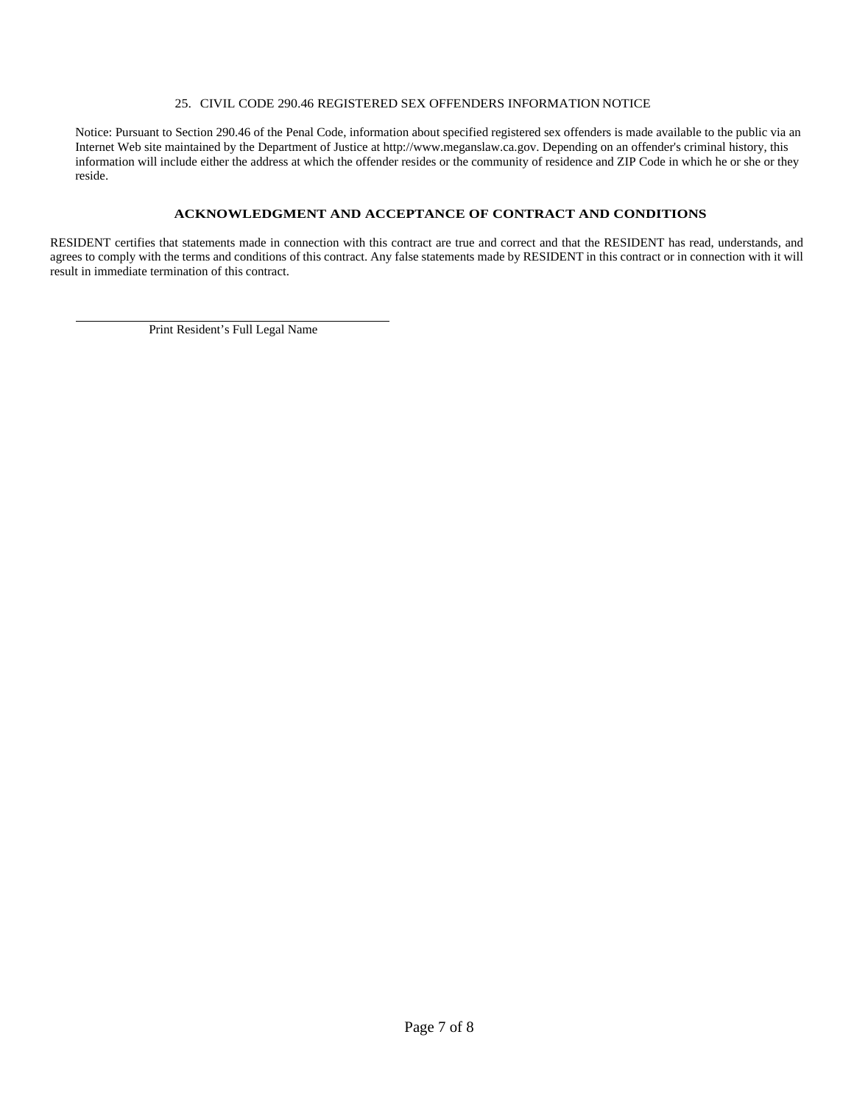### 25. CIVIL CODE 290.46 REGISTERED SEX OFFENDERS INFORMATION NOTICE

Notice: Pursuant to Section 290.46 of the Penal Code, information about specified registered sex offenders is made available to the public via an Internet Web site maintained by the Department of Justice at [http://www.meganslaw.ca.gov. D](http://www.meganslaw.ca.gov/)epending on an offender's criminal history, this information will include either the address at which the offender resides or the community of residence and ZIP Code in which he or she or they reside.

### **ACKNOWLEDGMENT AND ACCEPTANCE OF CONTRACT AND CONDITIONS**

RESIDENT certifies that statements made in connection with this contract are true and correct and that the RESIDENT has read, understands, and agrees to comply with the terms and conditions of this contract. Any false statements made by RESIDENT in this contract or in connection with it will result in immediate termination of this contract.

Print Resident's Full Legal Name